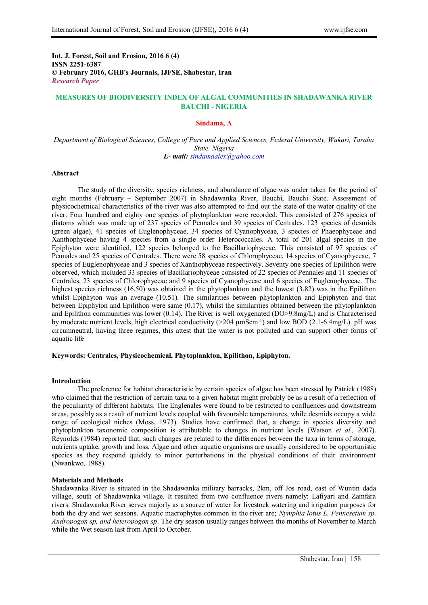**Int. J. Forest, Soil and Erosion, 2016 6 (4) ISSN 2251-6387 © February 2016, GHB's Journals, IJFSE, Shabestar, Iran** *Research Paper*

# **MEASURES OF BIODIVERSITY INDEX OF ALGAL COMMUNITIES IN SHADAWANKA RIVER BAUCHI - NIGERIA**

### **Sindama, A**

*Department of Biological Sciences, College of Pure and Applied Sciences, Federal University, Wukari, Taraba State. Nigeria E- mail: [sindamaalex@yahoo.com](mailto:sindamaalex@yahoo.com)*

#### **Abstract**

The study of the diversity, species richness, and abundance of algae was under taken for the period of eight months (February – September 2007) in Shadawanka River, Bauchi, Bauchi State. Assessment of physicochemical characteristics of the river was also attempted to find out the state of the water quality of the river. Four hundred and eighty one species of phytoplankton were recorded. This consisted of 276 species of diatoms which was made up of 237 species of Pennales and 39 species of Centrales. 123 species of desmids (green algae), 41 species of Euglenophyceae, 34 species of Cyanophyceae, 3 species of Phaeophyceae and Xanthophyceae having 4 species from a single order Heterococcales. A total of 201 algal species in the Epiphyton were identified, 122 species belonged to the Bacillariophyceae. This consisted of 97 species of Pennales and 25 species of Centrales. There were 58 species of Chlorophyceae, 14 species of Cyanophyceae, 7 species of Euglenophyceae and 3 species of Xanthophyceae respectively. Seventy one species of Epilithon were observed, which included 33 species of Bacillariophyceae consisted of 22 species of Pennales and 11 species of Centrales, 23 species of Chlorophyceae and 9 species of Cyanophyceae and 6 species of Euglenophyceae. The highest species richness (16.50) was obtained in the phytoplankton and the lowest (3.82) was in the Epilithon whilst Epiphyton was an average (10.51). The similarities between phytoplankton and Epiphyton and that between Epiphyton and Epilithon were same (0.17), whilst the similarities obtained between the phytoplankton and Epilithon communities was lower (0.14). The River is well oxygenated (DO>9.8mg/L) and is Characterised by moderate nutrient levels, high electrical conductivity  $(>204 \mu mScm^{-1})$  and low BOD (2.1-6.4mg/L). pH was circumneutral, having three regimes, this attest that the water is not polluted and can support other forms of aquatic life

### **Keywords: Centrales, Physicochemical, Phytoplankton, Epilithon, Epiphyton.**

#### **Introduction**

The preference for habitat characteristic by certain species of algae has been stressed by Patrick (1988) who claimed that the restriction of certain taxa to a given habitat might probably be as a result of a reflection of the peculiarity of different habitats. The Englenales were found to be restricted to confluences and downstream areas, possibly as a result of nutrient levels coupled with favourable temperatures, while desmids occupy a wide range of ecological niches (Moss, 1973). Studies have confirmed that, a change in species diversity and phytoplankton taxonomic composition is attributable to changes in nutrient levels (Watson *et al.,* 2007). Reynolds (1984) reported that, such changes are related to the differences between the taxa in terms of storage, nutrients uptake, growth and loss. Algae and other aquatic organisms are usually considered to be opportunistic species as they respond quickly to minor perturbations in the physical conditions of their environment (Nwankwo, 1988).

#### **Materials and Methods**

Shadawanka River is situated in the Shadawanka military barracks, 2km, off Jos road, east of Wuntin dada village, south of Shadawanka village. It resulted from two confluence rivers namely: Lafiyari and Zamfara rivers. Shadawanka River serves majorly as a source of water for livestock watering and irrigation purposes for both the dry and wet seasons. Aquatic macrophytes common in the river are; *Nymphia lotus L. Pennesetum sp, Andropogon sp, and heteropogon sp*. The dry season usually ranges between the months of November to March while the Wet season last from April to October.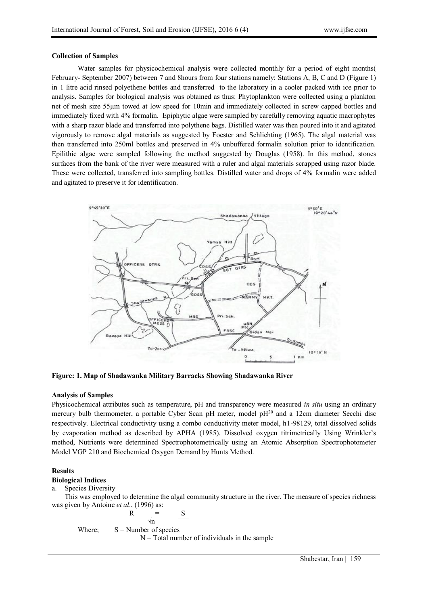### **Collection of Samples**

Water samples for physicochemical analysis were collected monthly for a period of eight months( February- September 2007) between 7 and 8hours from four stations namely: Stations A, B, C and D (Figure 1) in 1 litre acid rinsed polyethene bottles and transferred to the laboratory in a cooler packed with ice prior to analysis. Samples for biological analysis was obtained as thus: Phytoplankton were collected using a plankton net of mesh size 55µm towed at low speed for 10min and immediately collected in screw capped bottles and immediately fixed with 4% formalin. Epiphytic algae were sampled by carefully removing aquatic macrophytes with a sharp razor blade and transferred into polythene bags. Distilled water was then poured into it and agitated vigorously to remove algal materials as suggested by Foester and Schlichting (1965). The algal material was then transferred into 250ml bottles and preserved in 4% unbuffered formalin solution prior to identification. Epilithic algae were sampled following the method suggested by Douglas (1958). In this method, stones surfaces from the bank of the river were measured with a ruler and algal materials scrapped using razor blade. These were collected, transferred into sampling bottles. Distilled water and drops of 4% formalin were added and agitated to preserve it for identification.



**Figure: 1. Map of Shadawanka Military Barracks Showing Shadawanka River**

## **Analysis of Samples**

Physicochemical attributes such as temperature, pH and transparency were measured *in situ* using an ordinary mercury bulb thermometer, a portable Cyber Scan pH meter, model  $pH<sup>20</sup>$  and a 12cm diameter Secchi disc respectively. Electrical conductivity using a combo conductivity meter model, h1-98129, total dissolved solids by evaporation method as described by APHA (1985). Dissolved oxygen titrimetrically Using Wrinkler's method, Nutrients were determined Spectrophotometrically using an Atomic Absorption Spectrophotometer Model VGP 210 and Biochemical Oxygen Demand by Hunts Method.

## **Results**

## **Biological Indices**

#### a. Species Diversity

This was employed to determine the algal community structure in the river. The measure of species richness was given by Antoine *et al*., (1996) as:

$$
R = \frac{S}{\sqrt{n}}
$$
  
Where; S = Number of species  
N = Total number of individuals in the sample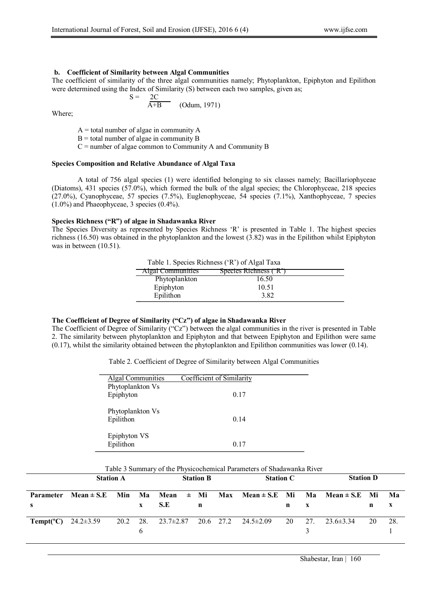### **b. Coefficient of Similarity between Algal Communities**

The coefficient of similarity of the three algal communities namely; Phytoplankton, Epiphyton and Epilithon were determined using the Index of Similarity (S) between each two samples, given as;

$$
S = \frac{2C}{A+B}
$$
 (Odum, 1971)

Where;

 $A =$  total number of algae in community A

 $B =$  total number of algae in community B

 $C$  = number of algae common to Community A and Community B

## **Species Composition and Relative Abundance of Algal Taxa**

A total of 756 algal species (1) were identified belonging to six classes namely; Bacillariophyceae (Diatoms), 431 species (57.0%), which formed the bulk of the algal species; the Chlorophyceae, 218 species (27.0%), Cyanophyceae, 57 species (7.5%), Euglenophyceae, 54 species (7.1%), Xanthophyceae, 7 species (1.0%) and Phaeophyceae, 3 species (0.4%).

### **Species Richness ("R") of algae in Shadawanka River**

The Species Diversity as represented by Species Richness 'R' is presented in Table 1. The highest species richness (16.50) was obtained in the phytoplankton and the lowest (3.82) was in the Epilithon whilst Epiphyton was in between  $(10.51)$ .

Table 1. Species Richness ('R') of Algal Taxa

| <b>Algal Communities</b> | (1)<br>Species Richness ('R' |  |
|--------------------------|------------------------------|--|
| Phytoplankton            | 16.50                        |  |
| Epiphyton                | 10.51                        |  |
| Epilithon                | 3.82                         |  |

### **The Coefficient of Degree of Similarity ("Cz") of algae in Shadawanka River**

The Coefficient of Degree of Similarity ("Cz") between the algal communities in the river is presented in Table 2. The similarity between phytoplankton and Epiphyton and that between Epiphyton and Epilithon were same (0.17), whilst the similarity obtained between the phytoplankton and Epilithon communities was lower (0.14).

Table 2. Coefficient of Degree of Similarity between Algal Communities

| <b>Algal Communities</b> | Coefficient of Similarity |
|--------------------------|---------------------------|
| Phytoplankton Vs         |                           |
| Epiphyton                | 0.17                      |
|                          |                           |
| Phytoplankton Vs         |                           |
| Epilithon                | 0.14                      |
|                          |                           |
| Epiphyton VS             |                           |
| Epilithon                | 0.17                      |
|                          |                           |

| Table 3 Summary of the Physicochemical Parameters of Shadawanka River |  |  |  |  |
|-----------------------------------------------------------------------|--|--|--|--|
|-----------------------------------------------------------------------|--|--|--|--|

|                                  | <b>Station A</b>                                                                         |  |              | <b>Station B</b>                                   |   |  | <b>Station C</b> |    |     | <b>Station D</b> |    |     |
|----------------------------------|------------------------------------------------------------------------------------------|--|--------------|----------------------------------------------------|---|--|------------------|----|-----|------------------|----|-----|
|                                  | Parameter Mean $\pm$ S.E Min Ma Mean $\pm$ Mi Max Mean $\pm$ S.E Mi Ma Mean $\pm$ S.E Mi |  |              |                                                    |   |  |                  |    |     |                  |    | Ma  |
|                                  |                                                                                          |  | $\mathbf{x}$ | -S.E                                               | n |  |                  | n  |     |                  | n  | X   |
| <b>Tempt(°C)</b> 24.2 $\pm$ 3.59 |                                                                                          |  |              | 20.2 28. 23.7 $\pm$ 2.87 20.6 27.2 24.5 $\pm$ 2.09 |   |  |                  | 20 | 27. | $23.6 \pm 3.34$  | 20 | 28. |
|                                  |                                                                                          |  |              |                                                    |   |  |                  |    |     |                  |    |     |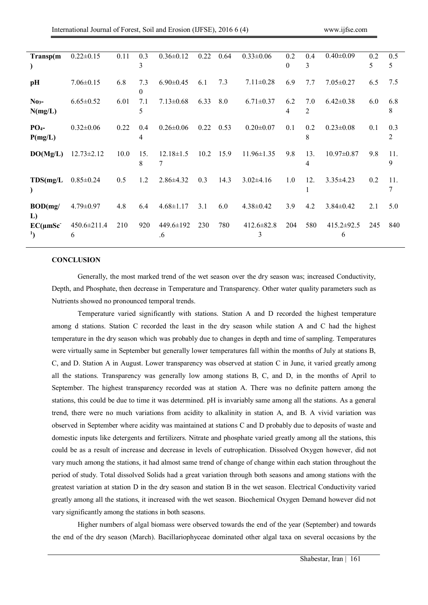| Transp(m                   | $0.22 \pm 0.15$        | 0.11 | 0.3                   | $0.36 \pm 0.12$                   | 0.22 | 0.64 | $0.33 \pm 0.06$       | 0.2      | 0.4                   | $0.40 \pm 0.09$  | 0.2 | 0.5      |
|----------------------------|------------------------|------|-----------------------|-----------------------------------|------|------|-----------------------|----------|-----------------------|------------------|-----|----------|
|                            |                        |      | 3                     |                                   |      |      |                       | $\Omega$ | 3                     |                  | 5   | 5        |
| pH                         | $7.06 \pm 0.15$        | 6.8  | 7.3<br>$\theta$       | $6.90 \pm 0.45$                   | 6.1  | 7.3  | $7.11 \pm 0.28$       | 6.9      | 7.7                   | $7.05 \pm 0.27$  | 6.5 | 7.5      |
| $No3-$<br>N(mg/L)          | $6.65 \pm 0.52$        | 6.01 | 7.1<br>5              | $7.13 \pm 0.68$                   | 6.33 | 8.0  | $6.71 \pm 0.37$       | 6.2<br>4 | 7.0<br>$\overline{2}$ | $6.42 \pm 0.38$  | 6.0 | 6.8<br>8 |
| PO <sub>4</sub><br>P(mg/L) | $0.32 \pm 0.06$        | 0.22 | 0.4<br>$\overline{4}$ | $0.26 \pm 0.06$                   | 0.22 | 0.53 | $0.20 \pm 0.07$       | 0.1      | 0.2<br>8              | $0.23 \pm 0.08$  | 0.1 | 0.3<br>2 |
| DO(Mg/L)                   | $12.73 \pm 2.12$       | 10.0 | 15.<br>8              | $12.18 \pm 1.5$<br>$\overline{7}$ | 10.2 | 15.9 | $11.96 \pm 1.35$      | 9.8      | 13.<br>$\overline{4}$ | $10.97 \pm 0.87$ | 9.8 | 11.<br>9 |
| TDS(mg/L)                  | $0.85 \pm 0.24$        | 0.5  | 1.2                   | $2.86 \pm 4.32$                   | 0.3  | 14.3 | $3.02 \pm 4.16$       | 1.0      | 12.                   | $3.35 \pm 4.23$  | 0.2 | 11.<br>7 |
| BOD(mg)<br>L)              | $4.79 \pm 0.97$        | 4.8  | 6.4                   | $4.68 \pm 1.17$                   | 3.1  | 6.0  | $4.38 \pm 0.42$       | 3.9      | 4.2                   | $3.84 \pm 0.42$  | 2.1 | 5.0      |
| $EC(\mu mSc$               | $450.6 \pm 211.4$<br>6 | 210  | 920                   | 449.6±192<br>.6                   | 230  | 780  | $412.6 \pm 82.8$<br>3 | 204      | 580                   | 415.2±92.5<br>6  | 245 | 840      |

#### **CONCLUSION**

Generally, the most marked trend of the wet season over the dry season was; increased Conductivity, Depth, and Phosphate, then decrease in Temperature and Transparency. Other water quality parameters such as Nutrients showed no pronounced temporal trends.

Temperature varied significantly with stations. Station A and D recorded the highest temperature among d stations. Station C recorded the least in the dry season while station A and C had the highest temperature in the dry season which was probably due to changes in depth and time of sampling. Temperatures were virtually same in September but generally lower temperatures fall within the months of July at stations B, C, and D. Station A in August. Lower transparency was observed at station C in June, it varied greatly among all the stations. Transparency was generally low among stations B, C, and D, in the months of April to September. The highest transparency recorded was at station A. There was no definite pattern among the stations, this could be due to time it was determined. pH is invariably same among all the stations. As a general trend, there were no much variations from acidity to alkalinity in station A, and B. A vivid variation was observed in September where acidity was maintained at stations C and D probably due to deposits of waste and domestic inputs like detergents and fertilizers. Nitrate and phosphate varied greatly among all the stations, this could be as a result of increase and decrease in levels of eutrophication. Dissolved Oxygen however, did not vary much among the stations, it had almost same trend of change of change within each station throughout the period of study. Total dissolved Solids had a great variation through both seasons and among stations with the greatest variation at station D in the dry season and station B in the wet season. Electrical Conductivity varied greatly among all the stations, it increased with the wet season. Biochemical Oxygen Demand however did not vary significantly among the stations in both seasons.

Higher numbers of algal biomass were observed towards the end of the year (September) and towards the end of the dry season (March). Bacillariophyceae dominated other algal taxa on several occasions by the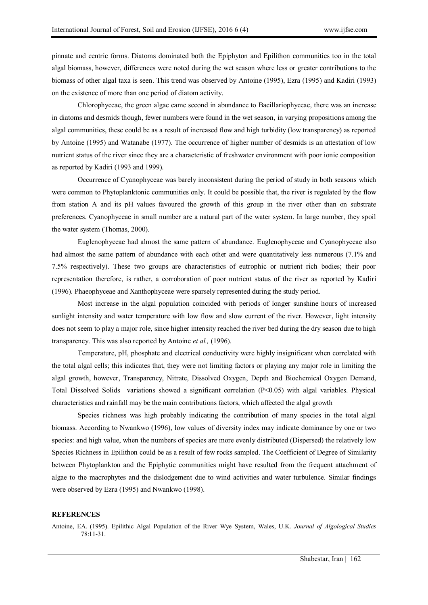pinnate and centric forms. Diatoms dominated both the Epiphyton and Epilithon communities too in the total algal biomass, however, differences were noted during the wet season where less or greater contributions to the biomass of other algal taxa is seen. This trend was observed by Antoine (1995), Ezra (1995) and Kadiri (1993) on the existence of more than one period of diatom activity.

Chlorophyceae, the green algae came second in abundance to Bacillariophyceae, there was an increase in diatoms and desmids though, fewer numbers were found in the wet season, in varying propositions among the algal communities, these could be as a result of increased flow and high turbidity (low transparency) as reported by Antoine (1995) and Watanabe (1977). The occurrence of higher number of desmids is an attestation of low nutrient status of the river since they are a characteristic of freshwater environment with poor ionic composition as reported by Kadiri (1993 and 1999).

Occurrence of Cyanophyceae was barely inconsistent during the period of study in both seasons which were common to Phytoplanktonic communities only. It could be possible that, the river is regulated by the flow from station A and its pH values favoured the growth of this group in the river other than on substrate preferences. Cyanophyceae in small number are a natural part of the water system. In large number, they spoil the water system (Thomas, 2000).

Euglenophyceae had almost the same pattern of abundance. Euglenophyceae and Cyanophyceae also had almost the same pattern of abundance with each other and were quantitatively less numerous (7.1% and 7.5% respectively). These two groups are characteristics of eutrophic or nutrient rich bodies; their poor representation therefore, is rather, a corroboration of poor nutrient status of the river as reported by Kadiri (1996). Phaeophyceae and Xanthophyceae were sparsely represented during the study period.

Most increase in the algal population coincided with periods of longer sunshine hours of increased sunlight intensity and water temperature with low flow and slow current of the river. However, light intensity does not seem to play a major role, since higher intensity reached the river bed during the dry season due to high transparency. This was also reported by Antoine *et al.,* (1996).

Temperature, pH, phosphate and electrical conductivity were highly insignificant when correlated with the total algal cells; this indicates that, they were not limiting factors or playing any major role in limiting the algal growth, however, Transparency, Nitrate, Dissolved Oxygen, Depth and Biochemical Oxygen Demand, Total Dissolved Solids variations showed a significant correlation (P<0.05) with algal variables. Physical characteristics and rainfall may be the main contributions factors, which affected the algal growth

Species richness was high probably indicating the contribution of many species in the total algal biomass. According to Nwankwo (1996), low values of diversity index may indicate dominance by one or two species: and high value, when the numbers of species are more evenly distributed (Dispersed) the relatively low Species Richness in Epilithon could be as a result of few rocks sampled. The Coefficient of Degree of Similarity between Phytoplankton and the Epiphytic communities might have resulted from the frequent attachment of algae to the macrophytes and the dislodgement due to wind activities and water turbulence. Similar findings were observed by Ezra (1995) and Nwankwo (1998).

## **REFERENCES**

Antoine, EA. (1995). Epilithic Algal Population of the River Wye System, Wales, U.K. *Journal of Algological Studies* 78:11-31.